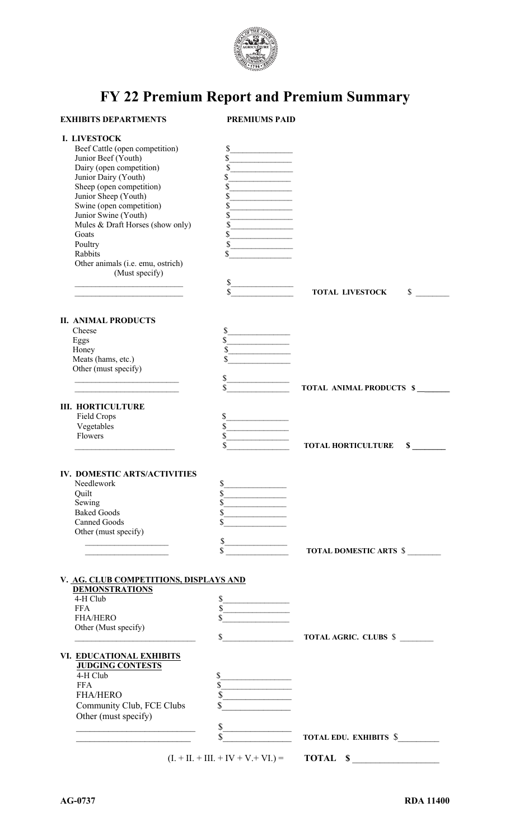

## **FY 22 Premium Report and Premium Summary**

| I. LIVESTOCK<br>Beef Cattle (open competition)<br>\$<br>\$<br>Junior Beef (Youth)<br>\$<br>Dairy (open competition)<br><u> 1990 - Johann Barnett, fransk politiker</u><br>Junior Dairy (Youth)<br>\$<br>the control of the control of the<br>Sheep (open competition)<br>\$<br>Junior Sheep (Youth)<br>\$<br>Swine (open competition)<br>\$<br>Junior Swine (Youth)<br>\$<br>Mules & Draft Horses (show only)<br>\$<br>\$<br>Goats<br>Poultry<br>\$<br><u>and the state of the state of the state</u><br>Rabbits<br>\$<br>Other animals (i.e. emu, ostrich)<br>(Must specify)<br>\$<br>\$<br>\$<br><b>TOTAL LIVESTOCK</b><br><b>II. ANIMAL PRODUCTS</b><br>\$<br>Cheese<br>\$<br>Eggs<br>\$<br>Honey<br>Meats (hams, etc.)<br>\$<br>Other (must specify)<br>\$<br><u> 1989 - Johann John Stone, markin f</u><br>TOTAL ANIMAL PRODUCTS \$<br><b>III. HORTICULTURE</b><br>Field Crops<br>\$<br>Vegetables<br>\$<br>Flowers<br>\$<br>\$<br>\$<br><b>TOTAL HORTICULTURE</b><br>IV. DOMESTIC ARTS/ACTIVITIES<br>\$<br>Needlework<br>\$<br>Quilt<br><u> 1989 - Johann Barnett, fransk politiker (</u><br>\$<br>Sewing<br><b>Baked Goods</b><br>\$<br><b>Canned Goods</b><br>Other (must specify)<br>\$<br>\$<br>TOTAL DOMESTIC ARTS \$<br>V. AG. CLUB COMPETITIONS, DISPLAYS AND<br><b>DEMONSTRATIONS</b><br>4-H Club<br>\$<br>\$<br><b>FFA</b><br><b>FHA/HERO</b><br>Other (Must specify)<br>\$<br><b>TOTAL AGRIC. CLUBS \$</b><br>VI. EDUCATIONAL EXHIBITS<br><b>JUDGING CONTESTS</b><br>4-H Club<br>\$<br>\$<br><b>FFA</b><br><u> 1980 - Jan Stein Stein Stein Stein Stein Stein Stein Stein Stein Stein Stein Stein Stein Stein Stein Stein S</u><br>\$<br><b>FHA/HERO</b><br>Community Club, FCE Clubs<br>Other (must specify)<br>\$<br>\$<br><b>TOTAL EDU. EXHIBITS \$</b><br>$(L + II. + III. + IV + V. + VI.) =$<br>TOTAL \$ | <b>EXHIBITS DEPARTMENTS</b> | <b>PREMIUMS PAID</b> |  |
|--------------------------------------------------------------------------------------------------------------------------------------------------------------------------------------------------------------------------------------------------------------------------------------------------------------------------------------------------------------------------------------------------------------------------------------------------------------------------------------------------------------------------------------------------------------------------------------------------------------------------------------------------------------------------------------------------------------------------------------------------------------------------------------------------------------------------------------------------------------------------------------------------------------------------------------------------------------------------------------------------------------------------------------------------------------------------------------------------------------------------------------------------------------------------------------------------------------------------------------------------------------------------------------------------------------------------------------------------------------------------------------------------------------------------------------------------------------------------------------------------------------------------------------------------------------------------------------------------------------------------------------------------------------------------------------------------------------------------------------------------------------------------------------------------------------------------------|-----------------------------|----------------------|--|
|                                                                                                                                                                                                                                                                                                                                                                                                                                                                                                                                                                                                                                                                                                                                                                                                                                                                                                                                                                                                                                                                                                                                                                                                                                                                                                                                                                                                                                                                                                                                                                                                                                                                                                                                                                                                                                |                             |                      |  |
|                                                                                                                                                                                                                                                                                                                                                                                                                                                                                                                                                                                                                                                                                                                                                                                                                                                                                                                                                                                                                                                                                                                                                                                                                                                                                                                                                                                                                                                                                                                                                                                                                                                                                                                                                                                                                                |                             |                      |  |
|                                                                                                                                                                                                                                                                                                                                                                                                                                                                                                                                                                                                                                                                                                                                                                                                                                                                                                                                                                                                                                                                                                                                                                                                                                                                                                                                                                                                                                                                                                                                                                                                                                                                                                                                                                                                                                |                             |                      |  |
|                                                                                                                                                                                                                                                                                                                                                                                                                                                                                                                                                                                                                                                                                                                                                                                                                                                                                                                                                                                                                                                                                                                                                                                                                                                                                                                                                                                                                                                                                                                                                                                                                                                                                                                                                                                                                                |                             |                      |  |
|                                                                                                                                                                                                                                                                                                                                                                                                                                                                                                                                                                                                                                                                                                                                                                                                                                                                                                                                                                                                                                                                                                                                                                                                                                                                                                                                                                                                                                                                                                                                                                                                                                                                                                                                                                                                                                |                             |                      |  |
|                                                                                                                                                                                                                                                                                                                                                                                                                                                                                                                                                                                                                                                                                                                                                                                                                                                                                                                                                                                                                                                                                                                                                                                                                                                                                                                                                                                                                                                                                                                                                                                                                                                                                                                                                                                                                                |                             |                      |  |
|                                                                                                                                                                                                                                                                                                                                                                                                                                                                                                                                                                                                                                                                                                                                                                                                                                                                                                                                                                                                                                                                                                                                                                                                                                                                                                                                                                                                                                                                                                                                                                                                                                                                                                                                                                                                                                |                             |                      |  |
|                                                                                                                                                                                                                                                                                                                                                                                                                                                                                                                                                                                                                                                                                                                                                                                                                                                                                                                                                                                                                                                                                                                                                                                                                                                                                                                                                                                                                                                                                                                                                                                                                                                                                                                                                                                                                                |                             |                      |  |
|                                                                                                                                                                                                                                                                                                                                                                                                                                                                                                                                                                                                                                                                                                                                                                                                                                                                                                                                                                                                                                                                                                                                                                                                                                                                                                                                                                                                                                                                                                                                                                                                                                                                                                                                                                                                                                |                             |                      |  |
|                                                                                                                                                                                                                                                                                                                                                                                                                                                                                                                                                                                                                                                                                                                                                                                                                                                                                                                                                                                                                                                                                                                                                                                                                                                                                                                                                                                                                                                                                                                                                                                                                                                                                                                                                                                                                                |                             |                      |  |
|                                                                                                                                                                                                                                                                                                                                                                                                                                                                                                                                                                                                                                                                                                                                                                                                                                                                                                                                                                                                                                                                                                                                                                                                                                                                                                                                                                                                                                                                                                                                                                                                                                                                                                                                                                                                                                |                             |                      |  |
|                                                                                                                                                                                                                                                                                                                                                                                                                                                                                                                                                                                                                                                                                                                                                                                                                                                                                                                                                                                                                                                                                                                                                                                                                                                                                                                                                                                                                                                                                                                                                                                                                                                                                                                                                                                                                                |                             |                      |  |
|                                                                                                                                                                                                                                                                                                                                                                                                                                                                                                                                                                                                                                                                                                                                                                                                                                                                                                                                                                                                                                                                                                                                                                                                                                                                                                                                                                                                                                                                                                                                                                                                                                                                                                                                                                                                                                |                             |                      |  |
|                                                                                                                                                                                                                                                                                                                                                                                                                                                                                                                                                                                                                                                                                                                                                                                                                                                                                                                                                                                                                                                                                                                                                                                                                                                                                                                                                                                                                                                                                                                                                                                                                                                                                                                                                                                                                                |                             |                      |  |
|                                                                                                                                                                                                                                                                                                                                                                                                                                                                                                                                                                                                                                                                                                                                                                                                                                                                                                                                                                                                                                                                                                                                                                                                                                                                                                                                                                                                                                                                                                                                                                                                                                                                                                                                                                                                                                |                             |                      |  |
|                                                                                                                                                                                                                                                                                                                                                                                                                                                                                                                                                                                                                                                                                                                                                                                                                                                                                                                                                                                                                                                                                                                                                                                                                                                                                                                                                                                                                                                                                                                                                                                                                                                                                                                                                                                                                                |                             |                      |  |
|                                                                                                                                                                                                                                                                                                                                                                                                                                                                                                                                                                                                                                                                                                                                                                                                                                                                                                                                                                                                                                                                                                                                                                                                                                                                                                                                                                                                                                                                                                                                                                                                                                                                                                                                                                                                                                |                             |                      |  |
|                                                                                                                                                                                                                                                                                                                                                                                                                                                                                                                                                                                                                                                                                                                                                                                                                                                                                                                                                                                                                                                                                                                                                                                                                                                                                                                                                                                                                                                                                                                                                                                                                                                                                                                                                                                                                                |                             |                      |  |
|                                                                                                                                                                                                                                                                                                                                                                                                                                                                                                                                                                                                                                                                                                                                                                                                                                                                                                                                                                                                                                                                                                                                                                                                                                                                                                                                                                                                                                                                                                                                                                                                                                                                                                                                                                                                                                |                             |                      |  |
|                                                                                                                                                                                                                                                                                                                                                                                                                                                                                                                                                                                                                                                                                                                                                                                                                                                                                                                                                                                                                                                                                                                                                                                                                                                                                                                                                                                                                                                                                                                                                                                                                                                                                                                                                                                                                                |                             |                      |  |
|                                                                                                                                                                                                                                                                                                                                                                                                                                                                                                                                                                                                                                                                                                                                                                                                                                                                                                                                                                                                                                                                                                                                                                                                                                                                                                                                                                                                                                                                                                                                                                                                                                                                                                                                                                                                                                |                             |                      |  |
|                                                                                                                                                                                                                                                                                                                                                                                                                                                                                                                                                                                                                                                                                                                                                                                                                                                                                                                                                                                                                                                                                                                                                                                                                                                                                                                                                                                                                                                                                                                                                                                                                                                                                                                                                                                                                                |                             |                      |  |
|                                                                                                                                                                                                                                                                                                                                                                                                                                                                                                                                                                                                                                                                                                                                                                                                                                                                                                                                                                                                                                                                                                                                                                                                                                                                                                                                                                                                                                                                                                                                                                                                                                                                                                                                                                                                                                |                             |                      |  |
|                                                                                                                                                                                                                                                                                                                                                                                                                                                                                                                                                                                                                                                                                                                                                                                                                                                                                                                                                                                                                                                                                                                                                                                                                                                                                                                                                                                                                                                                                                                                                                                                                                                                                                                                                                                                                                |                             |                      |  |
|                                                                                                                                                                                                                                                                                                                                                                                                                                                                                                                                                                                                                                                                                                                                                                                                                                                                                                                                                                                                                                                                                                                                                                                                                                                                                                                                                                                                                                                                                                                                                                                                                                                                                                                                                                                                                                |                             |                      |  |
|                                                                                                                                                                                                                                                                                                                                                                                                                                                                                                                                                                                                                                                                                                                                                                                                                                                                                                                                                                                                                                                                                                                                                                                                                                                                                                                                                                                                                                                                                                                                                                                                                                                                                                                                                                                                                                |                             |                      |  |
|                                                                                                                                                                                                                                                                                                                                                                                                                                                                                                                                                                                                                                                                                                                                                                                                                                                                                                                                                                                                                                                                                                                                                                                                                                                                                                                                                                                                                                                                                                                                                                                                                                                                                                                                                                                                                                |                             |                      |  |
|                                                                                                                                                                                                                                                                                                                                                                                                                                                                                                                                                                                                                                                                                                                                                                                                                                                                                                                                                                                                                                                                                                                                                                                                                                                                                                                                                                                                                                                                                                                                                                                                                                                                                                                                                                                                                                |                             |                      |  |
|                                                                                                                                                                                                                                                                                                                                                                                                                                                                                                                                                                                                                                                                                                                                                                                                                                                                                                                                                                                                                                                                                                                                                                                                                                                                                                                                                                                                                                                                                                                                                                                                                                                                                                                                                                                                                                |                             |                      |  |
|                                                                                                                                                                                                                                                                                                                                                                                                                                                                                                                                                                                                                                                                                                                                                                                                                                                                                                                                                                                                                                                                                                                                                                                                                                                                                                                                                                                                                                                                                                                                                                                                                                                                                                                                                                                                                                |                             |                      |  |
|                                                                                                                                                                                                                                                                                                                                                                                                                                                                                                                                                                                                                                                                                                                                                                                                                                                                                                                                                                                                                                                                                                                                                                                                                                                                                                                                                                                                                                                                                                                                                                                                                                                                                                                                                                                                                                |                             |                      |  |
|                                                                                                                                                                                                                                                                                                                                                                                                                                                                                                                                                                                                                                                                                                                                                                                                                                                                                                                                                                                                                                                                                                                                                                                                                                                                                                                                                                                                                                                                                                                                                                                                                                                                                                                                                                                                                                |                             |                      |  |
|                                                                                                                                                                                                                                                                                                                                                                                                                                                                                                                                                                                                                                                                                                                                                                                                                                                                                                                                                                                                                                                                                                                                                                                                                                                                                                                                                                                                                                                                                                                                                                                                                                                                                                                                                                                                                                |                             |                      |  |
|                                                                                                                                                                                                                                                                                                                                                                                                                                                                                                                                                                                                                                                                                                                                                                                                                                                                                                                                                                                                                                                                                                                                                                                                                                                                                                                                                                                                                                                                                                                                                                                                                                                                                                                                                                                                                                |                             |                      |  |
|                                                                                                                                                                                                                                                                                                                                                                                                                                                                                                                                                                                                                                                                                                                                                                                                                                                                                                                                                                                                                                                                                                                                                                                                                                                                                                                                                                                                                                                                                                                                                                                                                                                                                                                                                                                                                                |                             |                      |  |
|                                                                                                                                                                                                                                                                                                                                                                                                                                                                                                                                                                                                                                                                                                                                                                                                                                                                                                                                                                                                                                                                                                                                                                                                                                                                                                                                                                                                                                                                                                                                                                                                                                                                                                                                                                                                                                |                             |                      |  |
|                                                                                                                                                                                                                                                                                                                                                                                                                                                                                                                                                                                                                                                                                                                                                                                                                                                                                                                                                                                                                                                                                                                                                                                                                                                                                                                                                                                                                                                                                                                                                                                                                                                                                                                                                                                                                                |                             |                      |  |
|                                                                                                                                                                                                                                                                                                                                                                                                                                                                                                                                                                                                                                                                                                                                                                                                                                                                                                                                                                                                                                                                                                                                                                                                                                                                                                                                                                                                                                                                                                                                                                                                                                                                                                                                                                                                                                |                             |                      |  |
|                                                                                                                                                                                                                                                                                                                                                                                                                                                                                                                                                                                                                                                                                                                                                                                                                                                                                                                                                                                                                                                                                                                                                                                                                                                                                                                                                                                                                                                                                                                                                                                                                                                                                                                                                                                                                                |                             |                      |  |
|                                                                                                                                                                                                                                                                                                                                                                                                                                                                                                                                                                                                                                                                                                                                                                                                                                                                                                                                                                                                                                                                                                                                                                                                                                                                                                                                                                                                                                                                                                                                                                                                                                                                                                                                                                                                                                |                             |                      |  |
|                                                                                                                                                                                                                                                                                                                                                                                                                                                                                                                                                                                                                                                                                                                                                                                                                                                                                                                                                                                                                                                                                                                                                                                                                                                                                                                                                                                                                                                                                                                                                                                                                                                                                                                                                                                                                                |                             |                      |  |
|                                                                                                                                                                                                                                                                                                                                                                                                                                                                                                                                                                                                                                                                                                                                                                                                                                                                                                                                                                                                                                                                                                                                                                                                                                                                                                                                                                                                                                                                                                                                                                                                                                                                                                                                                                                                                                |                             |                      |  |
|                                                                                                                                                                                                                                                                                                                                                                                                                                                                                                                                                                                                                                                                                                                                                                                                                                                                                                                                                                                                                                                                                                                                                                                                                                                                                                                                                                                                                                                                                                                                                                                                                                                                                                                                                                                                                                |                             |                      |  |
|                                                                                                                                                                                                                                                                                                                                                                                                                                                                                                                                                                                                                                                                                                                                                                                                                                                                                                                                                                                                                                                                                                                                                                                                                                                                                                                                                                                                                                                                                                                                                                                                                                                                                                                                                                                                                                |                             |                      |  |
|                                                                                                                                                                                                                                                                                                                                                                                                                                                                                                                                                                                                                                                                                                                                                                                                                                                                                                                                                                                                                                                                                                                                                                                                                                                                                                                                                                                                                                                                                                                                                                                                                                                                                                                                                                                                                                |                             |                      |  |
|                                                                                                                                                                                                                                                                                                                                                                                                                                                                                                                                                                                                                                                                                                                                                                                                                                                                                                                                                                                                                                                                                                                                                                                                                                                                                                                                                                                                                                                                                                                                                                                                                                                                                                                                                                                                                                |                             |                      |  |
|                                                                                                                                                                                                                                                                                                                                                                                                                                                                                                                                                                                                                                                                                                                                                                                                                                                                                                                                                                                                                                                                                                                                                                                                                                                                                                                                                                                                                                                                                                                                                                                                                                                                                                                                                                                                                                |                             |                      |  |
|                                                                                                                                                                                                                                                                                                                                                                                                                                                                                                                                                                                                                                                                                                                                                                                                                                                                                                                                                                                                                                                                                                                                                                                                                                                                                                                                                                                                                                                                                                                                                                                                                                                                                                                                                                                                                                |                             |                      |  |
|                                                                                                                                                                                                                                                                                                                                                                                                                                                                                                                                                                                                                                                                                                                                                                                                                                                                                                                                                                                                                                                                                                                                                                                                                                                                                                                                                                                                                                                                                                                                                                                                                                                                                                                                                                                                                                |                             |                      |  |
|                                                                                                                                                                                                                                                                                                                                                                                                                                                                                                                                                                                                                                                                                                                                                                                                                                                                                                                                                                                                                                                                                                                                                                                                                                                                                                                                                                                                                                                                                                                                                                                                                                                                                                                                                                                                                                |                             |                      |  |
|                                                                                                                                                                                                                                                                                                                                                                                                                                                                                                                                                                                                                                                                                                                                                                                                                                                                                                                                                                                                                                                                                                                                                                                                                                                                                                                                                                                                                                                                                                                                                                                                                                                                                                                                                                                                                                |                             |                      |  |
|                                                                                                                                                                                                                                                                                                                                                                                                                                                                                                                                                                                                                                                                                                                                                                                                                                                                                                                                                                                                                                                                                                                                                                                                                                                                                                                                                                                                                                                                                                                                                                                                                                                                                                                                                                                                                                |                             |                      |  |
|                                                                                                                                                                                                                                                                                                                                                                                                                                                                                                                                                                                                                                                                                                                                                                                                                                                                                                                                                                                                                                                                                                                                                                                                                                                                                                                                                                                                                                                                                                                                                                                                                                                                                                                                                                                                                                |                             |                      |  |
|                                                                                                                                                                                                                                                                                                                                                                                                                                                                                                                                                                                                                                                                                                                                                                                                                                                                                                                                                                                                                                                                                                                                                                                                                                                                                                                                                                                                                                                                                                                                                                                                                                                                                                                                                                                                                                |                             |                      |  |
|                                                                                                                                                                                                                                                                                                                                                                                                                                                                                                                                                                                                                                                                                                                                                                                                                                                                                                                                                                                                                                                                                                                                                                                                                                                                                                                                                                                                                                                                                                                                                                                                                                                                                                                                                                                                                                |                             |                      |  |
|                                                                                                                                                                                                                                                                                                                                                                                                                                                                                                                                                                                                                                                                                                                                                                                                                                                                                                                                                                                                                                                                                                                                                                                                                                                                                                                                                                                                                                                                                                                                                                                                                                                                                                                                                                                                                                |                             |                      |  |
|                                                                                                                                                                                                                                                                                                                                                                                                                                                                                                                                                                                                                                                                                                                                                                                                                                                                                                                                                                                                                                                                                                                                                                                                                                                                                                                                                                                                                                                                                                                                                                                                                                                                                                                                                                                                                                |                             |                      |  |
|                                                                                                                                                                                                                                                                                                                                                                                                                                                                                                                                                                                                                                                                                                                                                                                                                                                                                                                                                                                                                                                                                                                                                                                                                                                                                                                                                                                                                                                                                                                                                                                                                                                                                                                                                                                                                                |                             |                      |  |
|                                                                                                                                                                                                                                                                                                                                                                                                                                                                                                                                                                                                                                                                                                                                                                                                                                                                                                                                                                                                                                                                                                                                                                                                                                                                                                                                                                                                                                                                                                                                                                                                                                                                                                                                                                                                                                |                             |                      |  |
|                                                                                                                                                                                                                                                                                                                                                                                                                                                                                                                                                                                                                                                                                                                                                                                                                                                                                                                                                                                                                                                                                                                                                                                                                                                                                                                                                                                                                                                                                                                                                                                                                                                                                                                                                                                                                                |                             |                      |  |